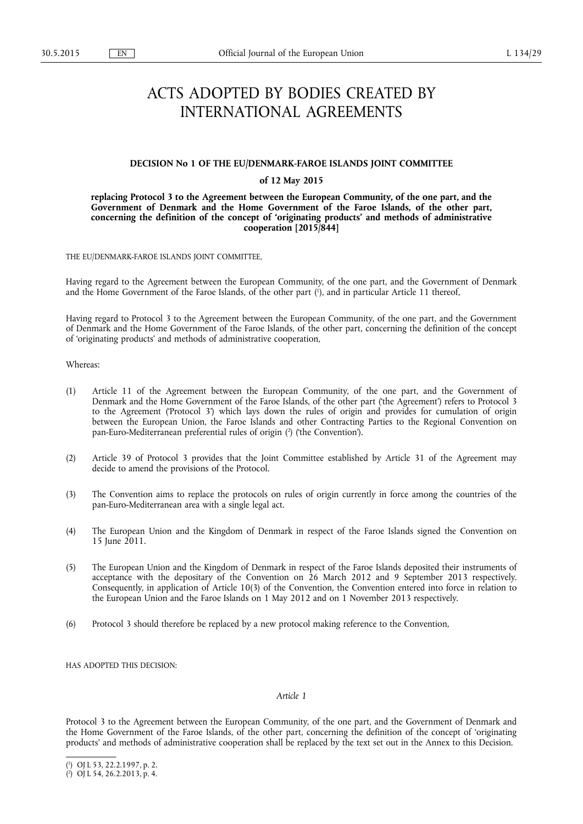# ACTS ADOPTED BY BODIES CREATED BY INTERNATIONAL AGREEMENTS

#### **DECISION No 1 OF THE EU/DENMARK-FAROE ISLANDS JOINT COMMITTEE**

## **of 12 May 2015**

**replacing Protocol 3 to the Agreement between the European Community, of the one part, and the Government of Denmark and the Home Government of the Faroe Islands, of the other part, concerning the definition of the concept of 'originating products' and methods of administrative cooperation [2015/844]** 

THE EU/DENMARK-FAROE ISLANDS JOINT COMMITTEE,

Having regard to the Agreement between the European Community, of the one part, and the Government of Denmark and the Home Government of the Faroe Islands, of the other part ( 1 ), and in particular Article 11 thereof,

Having regard to Protocol 3 to the Agreement between the European Community, of the one part, and the Government of Denmark and the Home Government of the Faroe Islands, of the other part, concerning the definition of the concept of 'originating products' and methods of administrative cooperation,

Whereas:

- (1) Article 11 of the Agreement between the European Community, of the one part, and the Government of Denmark and the Home Government of the Faroe Islands, of the other part ('the Agreement') refers to Protocol 3 to the Agreement ('Protocol 3') which lays down the rules of origin and provides for cumulation of origin between the European Union, the Faroe Islands and other Contracting Parties to the Regional Convention on pan-Euro-Mediterranean preferential rules of origin ( 2 ) ('the Convention').
- (2) Article 39 of Protocol 3 provides that the Joint Committee established by Article 31 of the Agreement may decide to amend the provisions of the Protocol.
- (3) The Convention aims to replace the protocols on rules of origin currently in force among the countries of the pan-Euro-Mediterranean area with a single legal act.
- (4) The European Union and the Kingdom of Denmark in respect of the Faroe Islands signed the Convention on 15 June 2011.
- (5) The European Union and the Kingdom of Denmark in respect of the Faroe Islands deposited their instruments of acceptance with the depositary of the Convention on 26 March 2012 and 9 September 2013 respectively. Consequently, in application of Article 10(3) of the Convention, the Convention entered into force in relation to the European Union and the Faroe Islands on 1 May 2012 and on 1 November 2013 respectively.
- (6) Protocol 3 should therefore be replaced by a new protocol making reference to the Convention,

HAS ADOPTED THIS DECISION:

#### *Article 1*

Protocol 3 to the Agreement between the European Community, of the one part, and the Government of Denmark and the Home Government of the Faroe Islands, of the other part, concerning the definition of the concept of 'originating products' and methods of administrative cooperation shall be replaced by the text set out in the Annex to this Decision.

<sup>(</sup> 1 ) OJ L 53, 22.2.1997, p. 2.

<sup>(</sup> 2 ) OJ L 54, 26.2.2013, p. 4.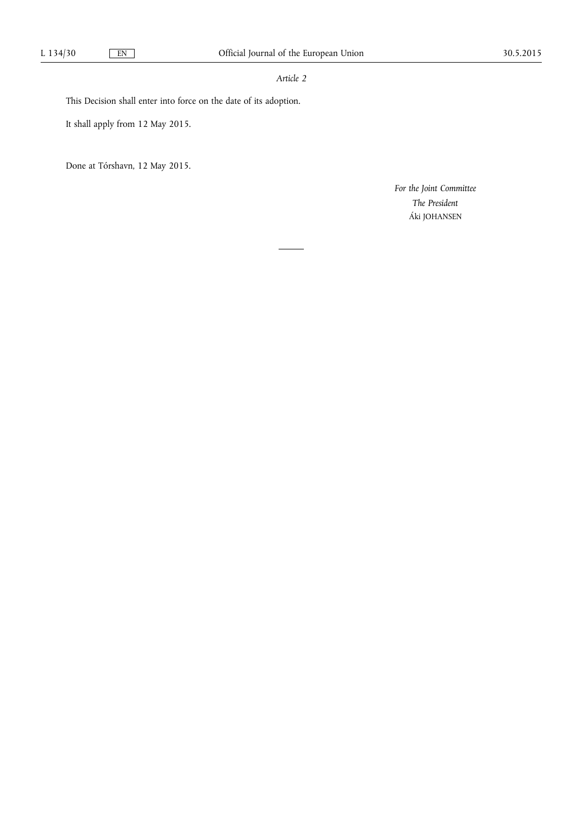## *Article 2*

This Decision shall enter into force on the date of its adoption.

It shall apply from 12 May 2015.

Done at Tórshavn, 12 May 2015.

*For the Joint Committee The President*  Áki JOHANSEN